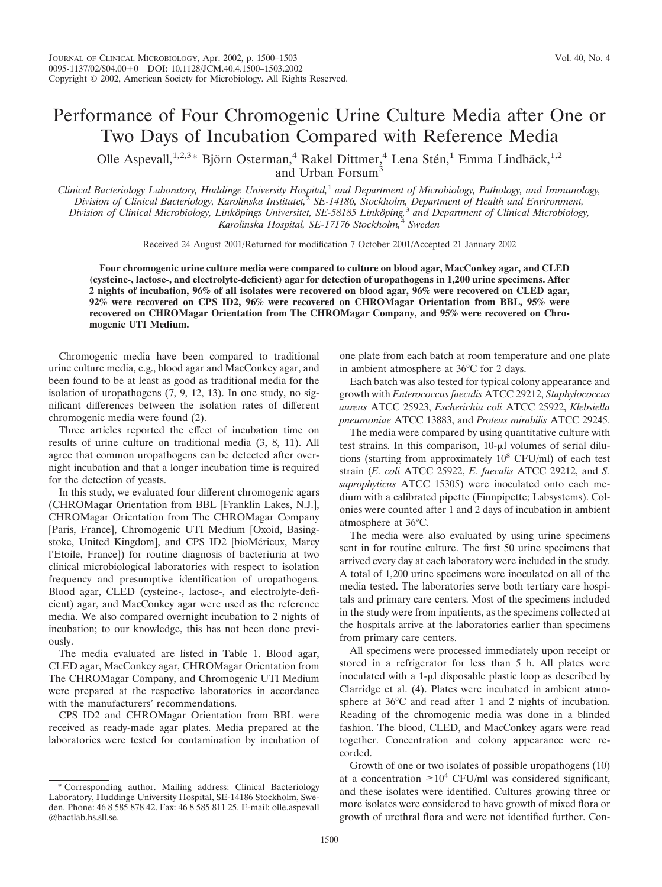## Performance of Four Chromogenic Urine Culture Media after One or Two Days of Incubation Compared with Reference Media

Olle Aspevall,<sup>1,2,3</sup>\* Björn Osterman,<sup>4</sup> Rakel Dittmer,<sup>4</sup> Lena Stén,<sup>1</sup> Emma Lindbäck,<sup>1,2</sup> and Urban Forsum<sup>3</sup>

*Clinical Bacteriology Laboratory, Huddinge University Hospital,*<sup>1</sup> *and Department of Microbiology, Pathology, and Immunology, Division of Clinical Bacteriology, Karolinska Institutet,*<sup>2</sup> *SE-14186, Stockholm, Department of Health and Environment, Division of Clinical Microbiology, Linköpings Universitet, SE-58185 Linköping,*<sup>3</sup> *and Department of Clinical Microbiology, Karolinska Hospital, SE-17176 Stockholm,*<sup>4</sup> *Sweden*

Received 24 August 2001/Returned for modification 7 October 2001/Accepted 21 January 2002

**Four chromogenic urine culture media were compared to culture on blood agar, MacConkey agar, and CLED (cysteine-, lactose-, and electrolyte-deficient) agar for detection of uropathogens in 1,200 urine specimens. After 2 nights of incubation, 96% of all isolates were recovered on blood agar, 96% were recovered on CLED agar, 92% were recovered on CPS ID2, 96% were recovered on CHROMagar Orientation from BBL, 95% were recovered on CHROMagar Orientation from The CHROMagar Company, and 95% were recovered on Chromogenic UTI Medium.**

Chromogenic media have been compared to traditional urine culture media, e.g., blood agar and MacConkey agar, and been found to be at least as good as traditional media for the isolation of uropathogens (7, 9, 12, 13). In one study, no significant differences between the isolation rates of different chromogenic media were found (2).

Three articles reported the effect of incubation time on results of urine culture on traditional media (3, 8, 11). All agree that common uropathogens can be detected after overnight incubation and that a longer incubation time is required for the detection of yeasts.

In this study, we evaluated four different chromogenic agars (CHROMagar Orientation from BBL [Franklin Lakes, N.J.], CHROMagar Orientation from The CHROMagar Company [Paris, France], Chromogenic UTI Medium [Oxoid, Basingstoke, United Kingdom], and CPS ID2 [bioMérieux, Marcy l'Etoile, France]) for routine diagnosis of bacteriuria at two clinical microbiological laboratories with respect to isolation frequency and presumptive identification of uropathogens. Blood agar, CLED (cysteine-, lactose-, and electrolyte-deficient) agar, and MacConkey agar were used as the reference media. We also compared overnight incubation to 2 nights of incubation; to our knowledge, this has not been done previously.

The media evaluated are listed in Table 1. Blood agar, CLED agar, MacConkey agar, CHROMagar Orientation from The CHROMagar Company, and Chromogenic UTI Medium were prepared at the respective laboratories in accordance with the manufacturers' recommendations.

CPS ID2 and CHROMagar Orientation from BBL were received as ready-made agar plates. Media prepared at the laboratories were tested for contamination by incubation of one plate from each batch at room temperature and one plate in ambient atmosphere at 36°C for 2 days.

Each batch was also tested for typical colony appearance and growth with *Enterococcus faecalis* ATCC 29212, *Staphylococcus aureus* ATCC 25923, *Escherichia coli* ATCC 25922, *Klebsiella pneumoniae* ATCC 13883, and *Proteus mirabilis* ATCC 29245.

The media were compared by using quantitative culture with test strains. In this comparison,  $10$ - $\mu$ l volumes of serial dilutions (starting from approximately  $10^8$  CFU/ml) of each test strain (*E. coli* ATCC 25922, *E. faecalis* ATCC 29212, and *S. saprophyticus* ATCC 15305) were inoculated onto each medium with a calibrated pipette (Finnpipette; Labsystems). Colonies were counted after 1 and 2 days of incubation in ambient atmosphere at 36°C.

The media were also evaluated by using urine specimens sent in for routine culture. The first 50 urine specimens that arrived every day at each laboratory were included in the study. A total of 1,200 urine specimens were inoculated on all of the media tested. The laboratories serve both tertiary care hospitals and primary care centers. Most of the specimens included in the study were from inpatients, as the specimens collected at the hospitals arrive at the laboratories earlier than specimens from primary care centers.

All specimens were processed immediately upon receipt or stored in a refrigerator for less than 5 h. All plates were inoculated with a 1-µl disposable plastic loop as described by Clarridge et al. (4). Plates were incubated in ambient atmosphere at 36°C and read after 1 and 2 nights of incubation. Reading of the chromogenic media was done in a blinded fashion. The blood, CLED, and MacConkey agars were read together. Concentration and colony appearance were recorded.

Growth of one or two isolates of possible uropathogens (10) at a concentration  $\geq 10^4$  CFU/ml was considered significant, and these isolates were identified. Cultures growing three or more isolates were considered to have growth of mixed flora or growth of urethral flora and were not identified further. Con-

Corresponding author. Mailing address: Clinical Bacteriology Laboratory, Huddinge University Hospital, SE-14186 Stockholm, Sweden. Phone: 46 8 585 878 42. Fax: 46 8 585 811 25. E-mail: olle.aspevall @bactlab.hs.sll.se.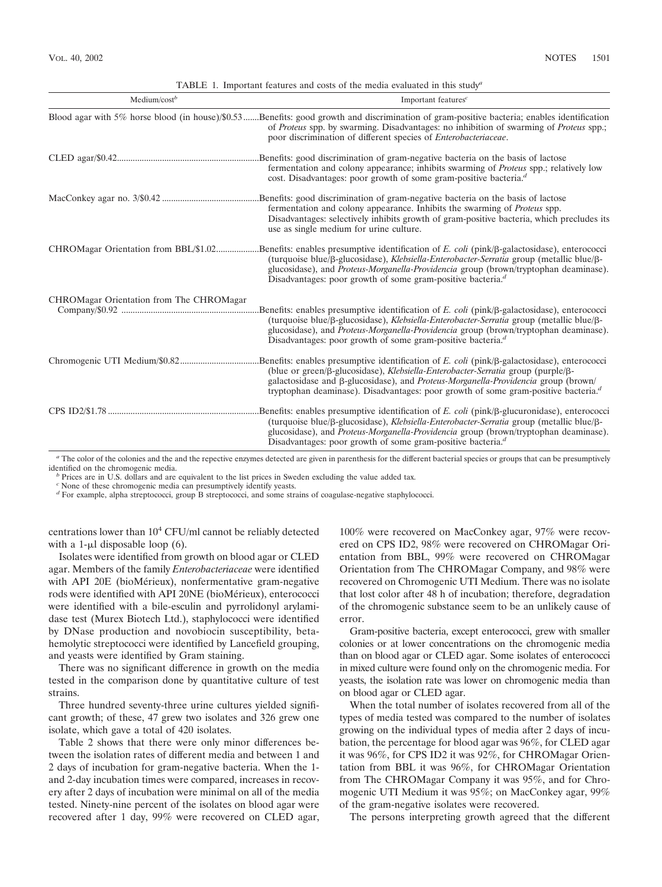| Medium/ $cost^b$                         | Important features <sup>c</sup>                                                                                                                                                                                                                                                                                                                                                                 |  |  |  |  |  |  |  |  |
|------------------------------------------|-------------------------------------------------------------------------------------------------------------------------------------------------------------------------------------------------------------------------------------------------------------------------------------------------------------------------------------------------------------------------------------------------|--|--|--|--|--|--|--|--|
|                                          | Blood agar with 5% horse blood (in house)/\$0.53 Benefits: good growth and discrimination of gram-positive bacteria; enables identification<br>of Proteus spp. by swarming. Disadvantages: no inhibition of swarming of Proteus spp.;<br>poor discrimination of different species of <i>Enterobacteriaceae</i> .                                                                                |  |  |  |  |  |  |  |  |
|                                          | Benefits: good discrimination of gram-negative bacteria on the basis of lactose<br>fermentation and colony appearance; inhibits swarming of <i>Proteus</i> spp.; relatively low<br>cost. Disadvantages: poor growth of some gram-positive bacteria. <sup>d</sup>                                                                                                                                |  |  |  |  |  |  |  |  |
|                                          | fermentation and colony appearance. Inhibits the swarming of <i>Proteus</i> spp.<br>Disadvantages: selectively inhibits growth of gram-positive bacteria, which precludes its<br>use as single medium for urine culture.                                                                                                                                                                        |  |  |  |  |  |  |  |  |
|                                          | CHROMagar Orientation from BBL/\$1.02Benefits: enables presumptive identification of E. coli (pink/β-galactosidase), enterococci<br>(turquoise blue/β-glucosidase), Klebsiella-Enterobacter-Serratia group (metallic blue/β-<br>glucosidase), and Proteus-Morganella-Providencia group (brown/tryptophan deaminase).<br>Disadvantages: poor growth of some gram-positive bacteria. <sup>d</sup> |  |  |  |  |  |  |  |  |
| CHROMagar Orientation from The CHROMagar | . Benefits: enables presumptive identification of E. coli ( $\pi$ ) pink/ $\beta$ -galactosidase), enterococci<br>(turquoise blue/β-glucosidase), Klebsiella-Enterobacter-Serratia group (metallic blue/β-<br>glucosidase), and Proteus-Morganella-Providencia group (brown/tryptophan deaminase).<br>Disadvantages: poor growth of some gram-positive bacteria. <sup>d</sup>                   |  |  |  |  |  |  |  |  |
|                                          | (blue or green/ $\beta$ -glucosidase), <i>Klebsiella-Enterobacter-Serratia</i> group (purple/ $\beta$ -<br>galactosidase and β-glucosidase), and <i>Proteus-Morganella-Providencia</i> group (brown/<br>tryptophan deaminase). Disadvantages: poor growth of some gram-positive bacteria. $d$                                                                                                   |  |  |  |  |  |  |  |  |
|                                          | Benefits: enables presumptive identification of E. coli (pink/ $\beta$ -glucuronidase), enterococci<br>(turquoise blue/β-glucosidase), Klebsiella-Enterobacter-Serratia group (metallic blue/β-<br>glucosidase), and Proteus-Morganella-Providencia group (brown/tryptophan deaminase).<br>Disadvantages: poor growth of some gram-positive bacteria. <sup><i>d</i></sup>                       |  |  |  |  |  |  |  |  |

TABLE 1. Important features and costs of the media evaluated in this study*<sup>a</sup>*

*<sup>a</sup>* The color of the colonies and the and the repective enzymes detected are given in parenthesis for the different bacterial species or groups that can be presumptively identified on the chromogenic media. *<sup>b</sup>* Prices are in U.S. dollars and are equivalent to the list prices in Sweden excluding the value added tax.

*<sup>c</sup>* None of these chromogenic media can presumptively identify yeasts.

*d* For example, alpha streptococci, group B streptococci, and some strains of coagulase-negative staphylococci.

centrations lower than  $10^4$  CFU/ml cannot be reliably detected with a 1- $\mu$ l disposable loop (6).

Isolates were identified from growth on blood agar or CLED agar. Members of the family *Enterobacteriaceae* were identified with API 20E (bioMérieux), nonfermentative gram-negative rods were identified with API 20NE (bioMérieux), enterococci were identified with a bile-esculin and pyrrolidonyl arylamidase test (Murex Biotech Ltd.), staphylococci were identified by DNase production and novobiocin susceptibility, betahemolytic streptococci were identified by Lancefield grouping, and yeasts were identified by Gram staining.

There was no significant difference in growth on the media tested in the comparison done by quantitative culture of test strains.

Three hundred seventy-three urine cultures yielded significant growth; of these, 47 grew two isolates and 326 grew one isolate, which gave a total of 420 isolates.

Table 2 shows that there were only minor differences between the isolation rates of different media and between 1 and 2 days of incubation for gram-negative bacteria. When the 1 and 2-day incubation times were compared, increases in recovery after 2 days of incubation were minimal on all of the media tested. Ninety-nine percent of the isolates on blood agar were recovered after 1 day, 99% were recovered on CLED agar,

100% were recovered on MacConkey agar, 97% were recovered on CPS ID2, 98% were recovered on CHROMagar Orientation from BBL, 99% were recovered on CHROMagar Orientation from The CHROMagar Company, and 98% were recovered on Chromogenic UTI Medium. There was no isolate that lost color after 48 h of incubation; therefore, degradation of the chromogenic substance seem to be an unlikely cause of error.

Gram-positive bacteria, except enterococci, grew with smaller colonies or at lower concentrations on the chromogenic media than on blood agar or CLED agar. Some isolates of enterococci in mixed culture were found only on the chromogenic media. For yeasts, the isolation rate was lower on chromogenic media than on blood agar or CLED agar.

When the total number of isolates recovered from all of the types of media tested was compared to the number of isolates growing on the individual types of media after 2 days of incubation, the percentage for blood agar was 96%, for CLED agar it was 96%, for CPS ID2 it was 92%, for CHROMagar Orientation from BBL it was 96%, for CHROMagar Orientation from The CHROMagar Company it was 95%, and for Chromogenic UTI Medium it was 95%; on MacConkey agar, 99% of the gram-negative isolates were recovered.

The persons interpreting growth agreed that the different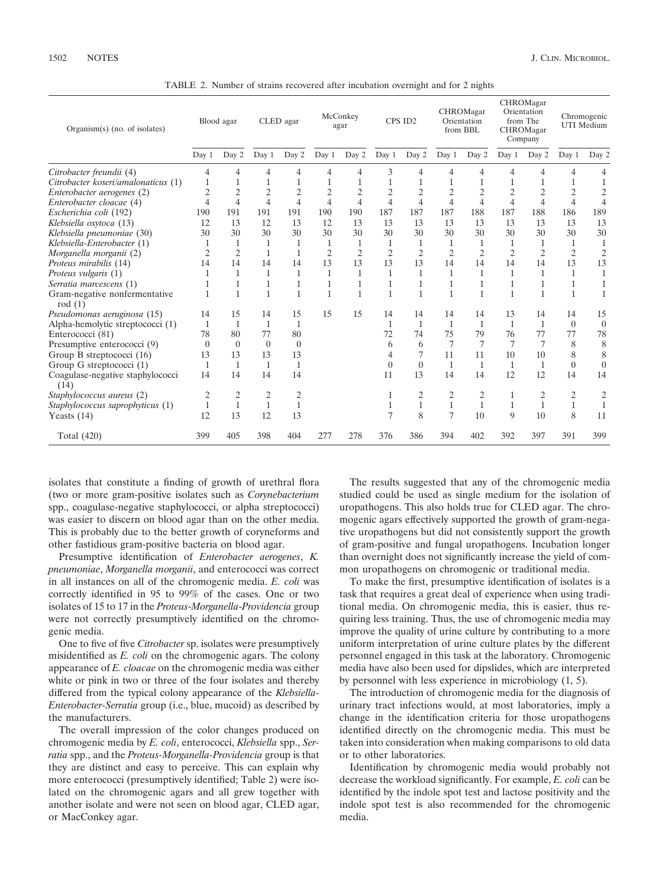| Organism $(s)$ (no. of isolates)           | Blood agar     |                | CLED agar      |                | McConkey<br>agar |                | CPS ID2        |                | CHROMagar<br>Orientation<br>from BBL |                | <b>CHROMagar</b><br>Orientation<br>from The<br><b>CHROMagar</b><br>Company |                | Chromogenic<br>UTI Medium |                  |
|--------------------------------------------|----------------|----------------|----------------|----------------|------------------|----------------|----------------|----------------|--------------------------------------|----------------|----------------------------------------------------------------------------|----------------|---------------------------|------------------|
|                                            | Day 1          | Day 2          | Day 1          | Day 2          | Day 1            | Day 2          | Day 1          | Day 2          | Day 1                                | Day 2          | Day 1                                                                      | Day 2          | Day 1                     | Day 2            |
| Citrobacter freundii (4)                   | 4              | 4              | 4              | 4              | 4                | 4              | 3              | $\overline{4}$ | 4                                    | 4              | 4                                                                          | 4              | 4                         | 4                |
| Citrobacter koseri/amalonaticus (1)        |                |                | 1              |                |                  |                |                |                |                                      |                |                                                                            |                |                           | 1                |
| Enterobacter aerogenes (2)                 | 2              | $\overline{2}$ | $\overline{2}$ | $\mathfrak{2}$ | $\overline{2}$   | $\overline{2}$ | $\overline{2}$ | $\overline{2}$ | $\overline{2}$                       | $\overline{c}$ | $\overline{c}$                                                             | $\overline{c}$ | $\overline{2}$            | $\overline{c}$   |
| Enterobacter cloacae (4)                   | $\overline{4}$ | $\overline{4}$ | 4              | 4              | 4                | $\overline{4}$ | $\overline{4}$ | $\overline{4}$ | $\overline{4}$                       | $\overline{4}$ | 4                                                                          | $\overline{4}$ | $\overline{4}$            | $\overline{4}$   |
| Escherichia coli (192)                     | 190            | 191            | 191            | 191            | 190              | 190            | 187            | 187            | 187                                  | 188            | 187                                                                        | 188            | 186                       | 189              |
| Klebsiella oxytoca (13)                    | 12             | 13             | 12             | 13             | 12               | 13             | 13             | 13             | 13                                   | 13             | 13                                                                         | 13             | 13                        | 13               |
| Klebsiella pneumoniae (30)                 | 30             | 30             | 30             | 30             | 30               | 30             | 30             | 30             | 30                                   | 30             | 30                                                                         | 30             | 30                        | 30               |
| Klebsiella-Enterobacter (1)                |                | 1              | 1              | 1              | 1                | 1              | 1              | 1              | 1                                    | 1              | 1                                                                          | 1              | $\mathbf{1}$              | 1                |
| Morganella morganii (2)                    | 2              | $\overline{2}$ | 1              | 1              | $\mathfrak{2}$   | $\overline{2}$ | $\overline{2}$ | $\overline{2}$ | $\overline{2}$                       | $\overline{2}$ | $\overline{2}$                                                             | $\mathfrak{2}$ | $\overline{2}$            | $\overline{2}$   |
| Proteus mirabilis (14)                     | 14             | 14             | 14             | 14             | 13               | 13             | 13             | 13             | 14                                   | 14             | 14                                                                         | 14             | 13                        | 13               |
| Proteus vulgaris (1)                       |                |                | 1              |                |                  |                |                | 1              | 1                                    | $\mathbf{1}$   | 1                                                                          | 1              | 1                         | 1                |
| Serratia marcescens (1)                    |                |                |                |                |                  |                |                | $\mathbf{1}$   | 1                                    | $\mathbf{1}$   |                                                                            |                | 1                         |                  |
| Gram-negative nonfermentative<br>rod $(1)$ |                | $\mathbf{1}$   | 1              | 1              | $\mathbf{1}$     | 1              | 1              | $\mathbf{1}$   | $\mathbf{1}$                         | $\mathbf{1}$   | 1                                                                          | $\mathbf{1}$   | 1                         | 1                |
| Pseudomonas aeruginosa (15)                | 14             | 15             | 14             | 15             | 15               | 15             | 14             | 14             | 14                                   | 14             | 13                                                                         | 14             | 14                        | 15               |
| Alpha-hemolytic streptococci (1)           | 1              | 1              | 1              | 1              |                  |                |                | $\mathbf{1}$   | $\mathbf{1}$                         | $\mathbf{1}$   | $\mathbf{1}$                                                               | $\mathbf{1}$   | $\overline{0}$            | $\boldsymbol{0}$ |
| Enterococci (81)                           | 78             | 80             | 77             | 80             |                  |                | 72             | 74             | 75                                   | 79             | 76                                                                         | 77             | 77                        | 78               |
| Presumptive enterococci (9)                | $\overline{0}$ | $\overline{0}$ | $\theta$       | $\overline{0}$ |                  |                | 6              | 6              | $\tau$                               | $\overline{7}$ | 7                                                                          | 7              | 8                         | 8                |
| Group B streptococci (16)                  | 13             | 13             | 13             | 13             |                  |                | 4              | 7              | 11                                   | 11             | 10                                                                         | 10             | 8                         | 8                |
| Group G streptococci (1)                   | 1              | $\mathbf{1}$   | 1              | $\mathbf{1}$   |                  |                | $\Omega$       | $\Omega$       | $\mathbf{1}$                         | $\mathbf{1}$   | $\mathbf{1}$                                                               | $\mathbf{1}$   | $\overline{0}$            | $\overline{0}$   |
| Coagulase-negative staphylococci<br>(14)   | 14             | 14             | 14             | 14             |                  |                | 11             | 13             | 14                                   | 14             | 12                                                                         | 12             | 14                        | 14               |
| Staphylococcus aureus (2)                  | 2              | $\overline{2}$ | 2              | 2              |                  |                |                | 2              | 2                                    | 2              | 1                                                                          | 2              | $\overline{c}$            | 2                |
| Staphylococcus saprophyticus (1)           | $\mathbf{1}$   | $\mathbf{1}$   | $\mathbf{1}$   | $\mathbf{1}$   |                  |                |                | $\mathbf{1}$   | $\mathbf{1}$                         | $\mathbf{1}$   | $\mathbf{1}$                                                               | $\mathbf{1}$   | $\mathbf{1}$              | $\mathbf{1}$     |
| Yeasts $(14)$                              | 12             | 13             | 12             | 13             |                  |                | 7              | 8              | $\overline{7}$                       | 10             | 9                                                                          | 10             | 8                         | 11               |
| <b>Total</b> (420)                         | 399            | 405            | 398            | 404            | 277              | 278            | 376            | 386            | 394                                  | 402            | 392                                                                        | 397            | 391                       | 399              |

TABLE 2. Number of strains recovered after incubation overnight and for 2 nights

isolates that constitute a finding of growth of urethral flora (two or more gram-positive isolates such as *Corynebacterium* spp., coagulase-negative staphylococci, or alpha streptococci) was easier to discern on blood agar than on the other media. This is probably due to the better growth of coryneforms and other fastidious gram-positive bacteria on blood agar.

Presumptive identification of *Enterobacter aerogenes*, *K. pneumoniae*, *Morganella morganii*, and enterococci was correct in all instances on all of the chromogenic media. *E. coli* was correctly identified in 95 to 99% of the cases. One or two isolates of 15 to 17 in the *Proteus*-*Morganella*-*Providencia* group were not correctly presumptively identified on the chromogenic media.

One to five of five *Citrobacter* sp. isolates were presumptively misidentified as *E. coli* on the chromogenic agars. The colony appearance of *E. cloacae* on the chromogenic media was either white or pink in two or three of the four isolates and thereby differed from the typical colony appearance of the *Klebsiella-Enterobacter-Serratia* group (i.e., blue, mucoid) as described by the manufacturers.

The overall impression of the color changes produced on chromogenic media by *E. coli*, enterococci, *Klebsiella* spp., *Serratia* spp., and the *Proteus-Morganella-Providencia* group is that they are distinct and easy to perceive. This can explain why more enterococci (presumptively identified; Table 2) were isolated on the chromogenic agars and all grew together with another isolate and were not seen on blood agar, CLED agar, or MacConkey agar.

The results suggested that any of the chromogenic media studied could be used as single medium for the isolation of uropathogens. This also holds true for CLED agar. The chromogenic agars effectively supported the growth of gram-negative uropathogens but did not consistently support the growth of gram-positive and fungal uropathogens. Incubation longer than overnight does not significantly increase the yield of common uropathogens on chromogenic or traditional media.

To make the first, presumptive identification of isolates is a task that requires a great deal of experience when using traditional media. On chromogenic media, this is easier, thus requiring less training. Thus, the use of chromogenic media may improve the quality of urine culture by contributing to a more uniform interpretation of urine culture plates by the different personnel engaged in this task at the laboratory. Chromogenic media have also been used for dipslides, which are interpreted by personnel with less experience in microbiology (1, 5).

The introduction of chromogenic media for the diagnosis of urinary tract infections would, at most laboratories, imply a change in the identification criteria for those uropathogens identified directly on the chromogenic media. This must be taken into consideration when making comparisons to old data or to other laboratories.

Identification by chromogenic media would probably not decrease the workload significantly. For example, *E. coli* can be identified by the indole spot test and lactose positivity and the indole spot test is also recommended for the chromogenic media.